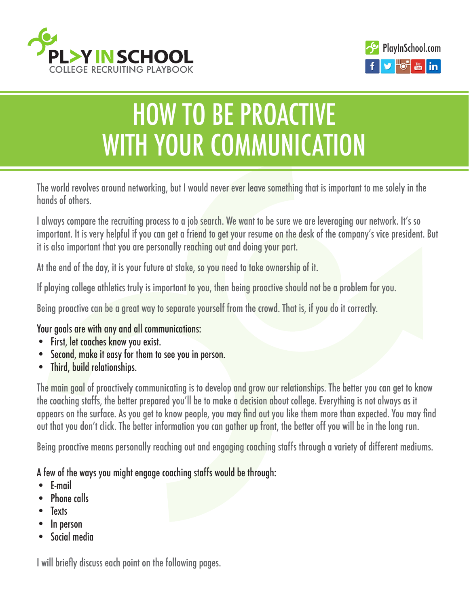



# how to be proactive WITH YOUR COMMUNICATION

The world revolves around networking, but I would never ever leave something that is important to me solely in the hands of others.

I always compare the recruiting process to a job search. We want to be sure we are leveraging our network. It's so important. It is very helpful if you can get a friend to get your resume on the desk of the company's vice president. But it is also important that you are personally reaching out and doing your part.

At the end of the day, it is your future at stake, so you need to take ownership of it.

If playing college athletics truly is important to you, then being proactive should not be a problem for you.

Being proactive can be a great way to separate yourself from the crowd. That is, if you do it correctly.

## Your goals are with any and all communications:

- First, let coaches know you exist.
- Second, make it easy for them to see you in person.
- Third, build relationships.

The main goal of proactively communicating is to develop and grow our relationships. The better you can get to know the coaching staffs, the better prepared you'll be to make a decision about college. Everything is not always as it appears on the surface. As you get to know people, you may find out you like them more than expected. You may find out that you don't click. The better information you can gather up front, the better off you will be in the long run.

Being proactive means personally reaching out and engaging coaching staffs through a variety of different mediums.

## A few of the ways you might engage coaching staffs would be through:

- E-mail
- Phone calls
- **Texts**
- In person
- Social media

I will briefly discuss each point on the following pages.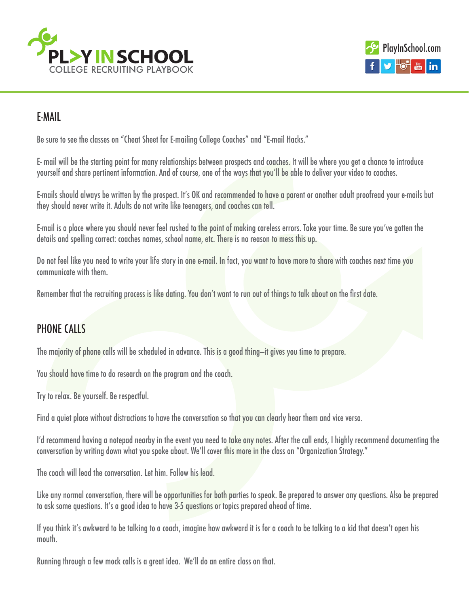



## E-Mail

Be sure to see the classes on ["Cheat Sheet for E-mailing College Coaches"](http://www.playinschool.com/cheat-sheet/) and "E-mail Hacks."

E- mail will be the starting point for many relationships between prospects and coaches. It will be where you get a chance to introduce yourself and share pertinent information. And of course, one of the ways that you'll be able to deliver your video to coaches.

E-mails should always be written by the prospect. It's OK and recommended to have a parent or another adult proofread your e-mails but they should never write it. Adults do not write like teenagers, and coaches can tell.

E-mail is a place where you should never feel rushed to the point of making careless errors. Take your time. Be sure you've gotten the details and spelling correct: coaches names, school name, etc. There is no reason to mess this up.

Do not feel like you need to write your life story in one e-mail. In fact, you want to have more to share with coaches next time you communicate with them.

Remember that the recruiting process is like dating. You don't want to run out of things to talk about on the first date.

## Phone calls

The majority of phone calls will be scheduled in advance. This is a good thing—it gives you time to prepare.

You should have time to do research on the program and the coach.

Try to relax. Be yourself. Be respectful.

Find a quiet place without distractions to have the conversation so that you can clearly hear them and vice versa.

I'd recommend having a notepad nearby in the event you need to take any notes. After the call ends, I highly recommend documenting the conversation by writing down what you spoke about. We'll cover this more in the class on "Organization Strategy."

The coach will lead the conversation. Let him. Follow his lead.

Like any normal conversation, there will be opportunities for both parties to speak. Be prepared to answer any questions. Also be prepared to ask some questions. It's a good idea to have 3-5 questions or topics prepared ahead of time.

If you think it's awkward to be talking to a coach, imagine how awkward it is for a coach to be talking to a kid that doesn't open his mouth.

Running through a few mock calls is a great idea. We'll do an entire class on that.